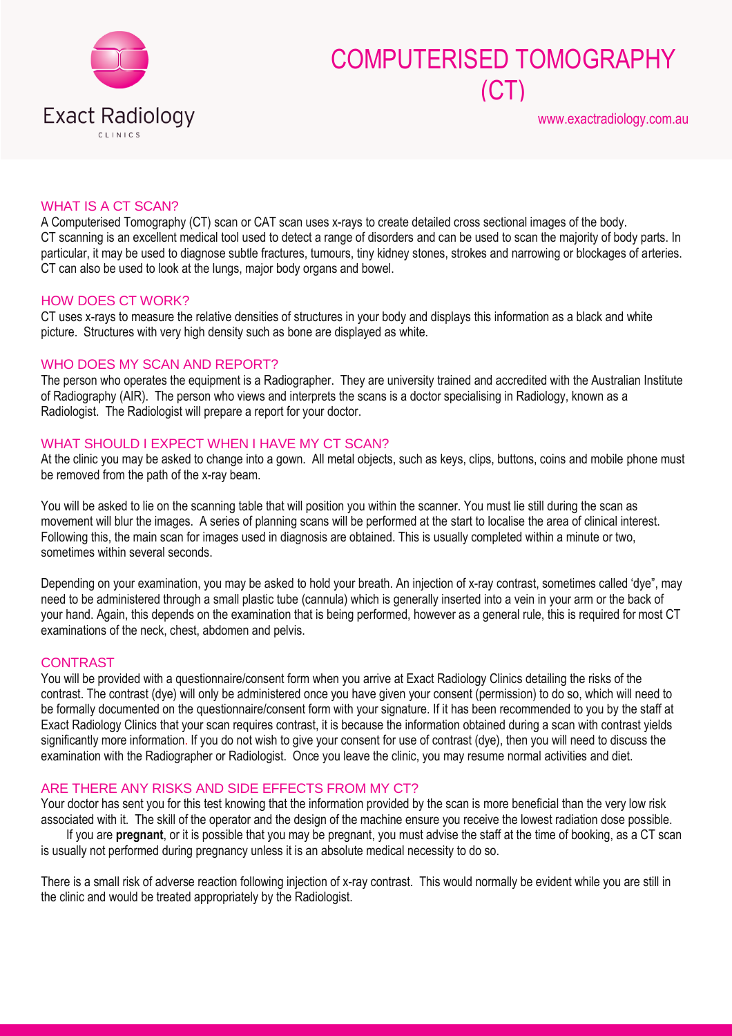

# COMPUTERISED TOMOGRAPHY (CT)

### WHAT IS A CT SCAN?

A Computerised Tomography (CT) scan or CAT scan uses x-rays to create detailed cross sectional images of the body. CT scanning is an excellent medical tool used to detect a range of disorders and can be used to scan the majority of body parts. In particular, it may be used to diagnose subtle fractures, tumours, tiny kidney stones, strokes and narrowing or blockages of arteries. CT can also be used to look at the lungs, major body organs and bowel.

#### HOW DOES CT WORK?

CT uses x-rays to measure the relative densities of structures in your body and displays this information as a black and white picture. Structures with very high density such as bone are displayed as white.

### WHO DOES MY SCAN AND REPORT?

The person who operates the equipment is a Radiographer. They are university trained and accredited with the Australian Institute of Radiography (AIR). The person who views and interprets the scans is a doctor specialising in Radiology, known as a Radiologist. The Radiologist will prepare a report for your doctor.

## WHAT SHOULD I EXPECT WHEN I HAVE MY CT SCAN?

At the clinic you may be asked to change into a gown. All metal objects, such as keys, clips, buttons, coins and mobile phone must be removed from the path of the x-ray beam.

You will be asked to lie on the scanning table that will position you within the scanner. You must lie still during the scan as movement will blur the images. A series of planning scans will be performed at the start to localise the area of clinical interest. Following this, the main scan for images used in diagnosis are obtained. This is usually completed within a minute or two, sometimes within several seconds.

Depending on your examination, you may be asked to hold your breath. An injection of x-ray contrast, [sometimes called 'dye"](http://www.melbourneradiology.com.au/index.php?option=com_content&view=article&id=146&Itemid=168), may need to be administered through a small plastic tube (cannula) which is generally inserted into a vein in your arm or the back of your hand. Again, this depends on the examination that is being performed, however as a general rule, this is required for most CT examinations of the neck, chest, abdomen and pelvis.

#### CONTRAST

You will be provided with a questionnaire/consent form when you arrive at Exact Radiology Clinics detailing the risks of the contrast. The contrast (dye) will only be administered once you have given your consent (permission) to do so, which will need to be formally documented on the questionnaire/consent form with your signature. If it has been recommended to you by the staff at Exact Radiology Clinics that your scan requires contrast, it is because the information obtained during a scan with contrast yields significantly more information. If you do not wish to give your consent for use of contrast (dye), then you will need to discuss the examination with the Radiographer or Radiologist. Once you leave the clinic, you may resume normal activities and diet.

#### ARE THERE ANY RISKS AND SIDE EFFECTS FROM MY CT?

Your doctor has sent you for this test knowing that the information provided by the scan is more beneficial than the very low risk associated with it. The skill of the operator and the design of the machine ensure you receive the lowest radiation dose possible.

If you are **pregnant**, or it is possible that you may be pregnant, you must advise the staff at the time of booking, as a CT scan is usually not performed during pregnancy unless it is an absolute medical necessity to do so.

There is a small risk of adverse reaction following injection of x-ray contrast. This would normally be evident while you are still in the clinic and would be treated appropriately by the Radiologist.